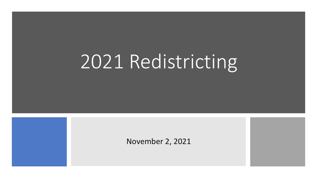# 2021 Redistricting

November 2, 2021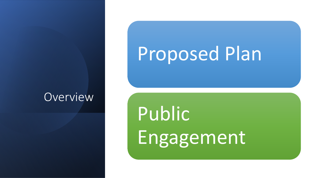#### Overview

# Public Engagement

## Proposed Plan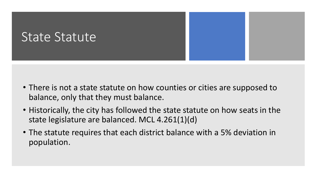

- There is not a state statute on how counties or cities are supposed to balance, only that they must balance.
- Historically, the city has followed the state statute on how seats in the state legislature are balanced. MCL 4.261(1)(d)
- The statute requires that each district balance with a 5% deviation in population.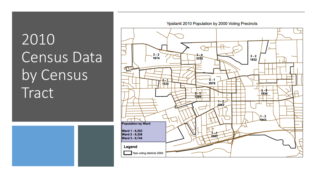## 2010 Census Data by Census Tract





Ypsilanti 2010 Population by 2000 Voting Precincts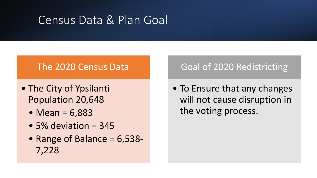#### Census Data & Plan Goal

#### The 2020 Census Data

- The City of Ypsilanti Population 20,648
	- Mean = 6,883
	- $\bullet$  5% deviation = 345
	- Range of Balance = 6,538-7,228

#### Goal of 2020 Redistricting

• To Ensure that any changes will not cause disruption in the voting process.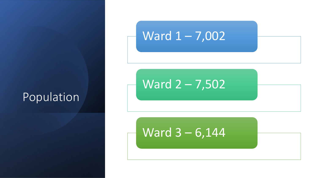#### Population

#### Ward 1-7,002

#### Ward  $2 - 7,502$

#### Ward  $3 - 6,144$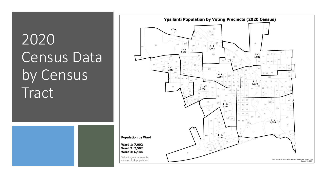## 2020 Census Data by Census Tract



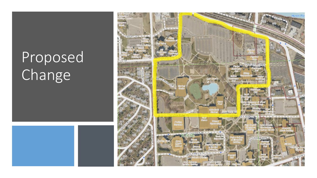### Proposed Change

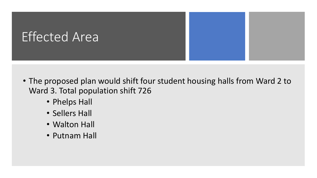# Effected Area

- The proposed plan would shift four student housing halls from Ward 2 to Ward 3. Total population shift 726
	- Phelps Hall
	- Sellers Hall
	- Walton Hall
	- Putnam Hall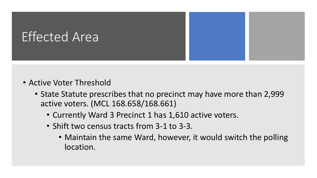#### Effected Area

- Active Voter Threshold
	- State Statute prescribes that no precinct may have more than 2,999 active voters. (MCL 168.658/168.661)
		- Currently Ward 3 Precinct 1 has 1,610 active voters.
		- Shift two census tracts from 3-1 to 3-3.
			- Maintain the same Ward, however, it would switch the polling location.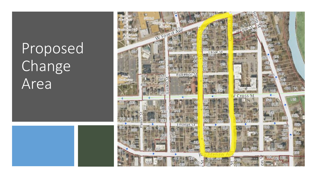## Proposed Change Area

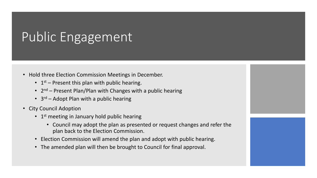#### Public Engagement

- Hold three Election Commission Meetings in December.
	- $\bullet$  1<sup>st</sup> Present this plan with public hearing.
	- 2<sup>nd</sup> Present Plan/Plan with Changes with a public hearing
	- 3<sup>rd</sup> Adopt Plan with a public hearing
- City Council Adoption
	- 1<sup>st</sup> meeting in January hold public hearing
		- Council may adopt the plan as presented or request changes and refer the plan back to the Election Commission.
	- Election Commission will amend the plan and adopt with public hearing.
	- The amended plan will then be brought to Council for final approval.